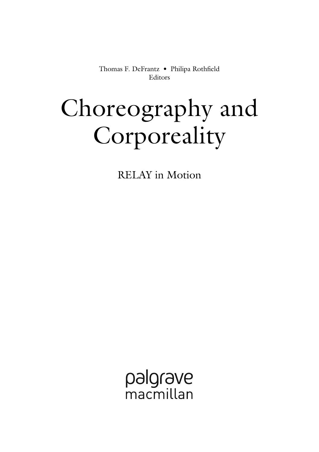Thomas F. DeFrantz • Philipa Rothfield Editors

# Choreography and **Corporeality**

RELAY in Motion

palgrave macmillan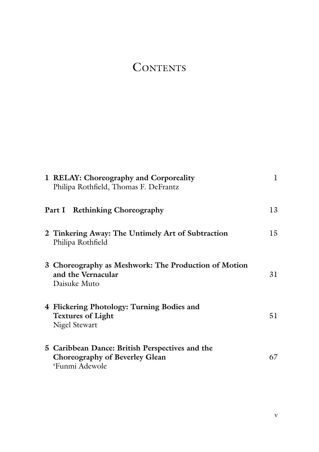## **CONTENTS**

| 1 RELAY: Choreography and Corporeality<br>Philipa Rothfield, Thomas F. DeFrantz                     | 1  |
|-----------------------------------------------------------------------------------------------------|----|
| Part I Rethinking Choreography                                                                      | 13 |
| 2 Tinkering Away: The Untimely Art of Subtraction<br>Philipa Rothfield                              | 15 |
| 3 Choreography as Meshwork: The Production of Motion<br>and the Vernacular<br>Daisuke Muto          | 31 |
| 4 Flickering Photology: Turning Bodies and<br><b>Textures of Light</b><br>Nigel Stewart             | 51 |
| 5 Caribbean Dance: British Perspectives and the<br>Choreography of Beverley Glean<br>'Funmi Adewole | 67 |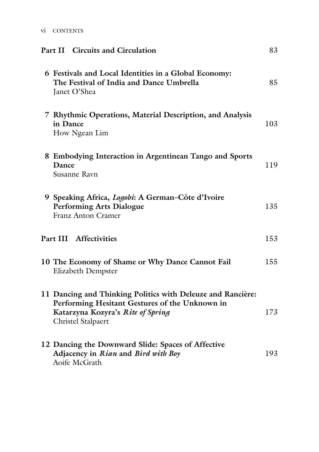| Part II Circuits and Circulation                                                                                                                                         | 83  |
|--------------------------------------------------------------------------------------------------------------------------------------------------------------------------|-----|
| 6 Festivals and Local Identities in a Global Economy:<br>The Festival of India and Dance Umbrella<br>Janet O'Shea                                                        | 85  |
| 7 Rhythmic Operations, Material Description, and Analysis<br>in Dance<br>How Ngean Lim                                                                                   | 103 |
| 8 Embodying Interaction in Argentinean Tango and Sports<br>Dance<br>Susanne Ravn                                                                                         | 119 |
| 9 Speaking Africa, Logobi: A German-Côte d'Ivoire<br><b>Performing Arts Dialogue</b><br>Franz Anton Cramer                                                               | 135 |
| Part III Affectivities                                                                                                                                                   | 153 |
| 10 The Economy of Shame or Why Dance Cannot Fail<br>Elizabeth Dempster                                                                                                   | 155 |
| 11 Dancing and Thinking Politics with Deleuze and Rancière:<br>Performing Hesitant Gestures of the Unknown in<br>Katarzyna Kozyra's Rite of Spring<br>Christel Stalpaert | 173 |
| 12 Dancing the Downward Slide: Spaces of Affective<br>Adjacency in Rian and Bird with Boy<br>Aoife McGrath                                                               | 193 |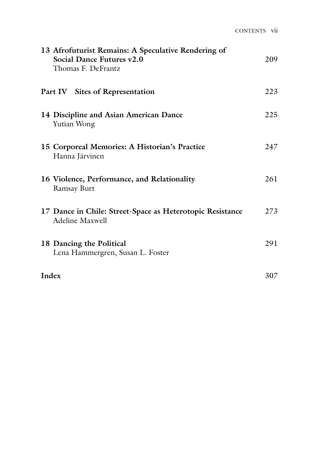| 13 Afrofuturist Remains: A Speculative Rendering of<br>Social Dance Futures v2.0<br>Thomas F. DeFrantz | 209 |
|--------------------------------------------------------------------------------------------------------|-----|
| Part IV Sites of Representation                                                                        | 223 |
| 14 Discipline and Asian American Dance<br>Yutian Wong                                                  | 225 |
| 15 Corporeal Memories: A Historian's Practice<br>Hanna Järvinen                                        | 247 |
| 16 Violence, Performance, and Relationality<br>Ramsay Burt                                             | 261 |
| 17 Dance in Chile: Street-Space as Heterotopic Resistance<br><b>Adeline Maxwell</b>                    | 273 |
| 18 Dancing the Political<br>Lena Hammergren, Susan L. Foster                                           | 291 |
| Index                                                                                                  | 307 |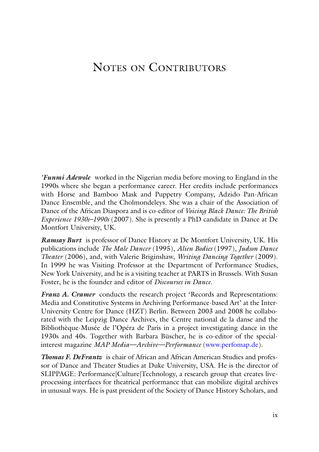### NOTES ON CONTRIBUTORS

*'Funmi Adewole* worked in the Nigerian media before moving to England in the 1990s where she began a performance career. Her credits include performances with Horse and Bamboo Mask and Puppetry Company, Adzido Pan-African Dance Ensemble, and the Cholmondeleys. She was a chair of the Association of Dance of the African Diaspora and is co-editor of *Voicing Black Dance: The British Experience 1930s–1990s* (2007). She is presently a PhD candidate in Dance at De Montfort University, UK.

*Ramsay Burt* is professor of Dance History at De Montfort University, UK. His publications include *The Male Dancer* (1995), *Alien Bodies* (1997), *Judson Dance Theater* (2006), and, with Valerie Briginshaw, *Writing Dancing Together* (2009). In 1999 he was Visiting Professor at the Department of Performance Studies, New York University, and he is a visiting teacher at PARTS in Brussels. With Susan Foster, he is the founder and editor of *Discourses in Dance*.

*Franz A. Cramer* conducts the research project 'Records and Representations: Media and Constitutive Systems in Archiving Performance-based Art' at the Inter-University Centre for Dance (HZT) Berlin. Between 2003 and 2008 he collaborated with the Leipzig Dance Archives, the Centre national de la danse and the Bibliothèque-Musée de l'Opéra de Paris in a project investigating dance in the 1930s and 40s. Together with Barbara Büscher, he is co-editor of the specialinterest magazine *MAP Media—Archive—Performance* (www.perfomap.de).

*Thomas F. DeFrantz* is chair of African and African American Studies and professor of Dance and Theater Studies at Duke University, USA. He is the director of SLIPPAGE: Performance|Culture|Technology, a research group that creates liveprocessing interfaces for theatrical performance that can mobilize digital archives in unusual ways. He is past president of the Society of Dance History Scholars, and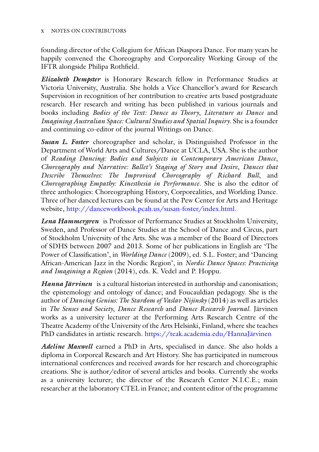founding director of the Collegium for African Diaspora Dance. For many years he happily convened the Choreography and Corporeality Working Group of the IFTR alongside Philipa Rothfield.

*Elizabeth Dempster* is Honorary Research fellow in Performance Studies at Victoria University, Australia. She holds a Vice Chancellor's award for Research Supervision in recognition of her contribution to creative arts based postgraduate research. Her research and writing has been published in various journals and books including *Bodies of the Text: Dance as Theory*, *Literature as Dance* and *Imagining Australian Space: Cultural Studies and Spatial Inquiry*. She is a founder and continuing co-editor of the journal Writings on Dance.

*Susan L. Foster* choreographer and scholar, is Distinguished Professor in the Department of World Arts and Cultures/Dance at UCLA, USA. She is the author of *Reading Dancing: Bodies and Subjects in Contemporary American Dance*, *Choreography and Narrative: Ballet's Staging of Story and Desire*, *Dances that Describe Themselves: The Improvised Choreography of Richard Bull*, and *Choreographing Empathy: Kinesthesia in Performance*. She is also the editor of three anthologies: Choreographing History, Corporealities, and Worlding Dance. Three of her danced lectures can be found at the Pew Center for Arts and Heritage website, [http://danceworkbook.pcah.us/susan-foster/index.html .](http://danceworkbook.pcah.us/susan-foster/index.html)

*Lena Hammergren* is Professor of Performance Studies at Stockholm University, Sweden, and Professor of Dance Studies at the School of Dance and Circus, part of Stockholm University of the Arts. She was a member of the Board of Directors of SDHS between 2007 and 2013. Some of her publications in English are 'The Power of Classification', in *Worlding Dance* (2009), ed. S.L. Foster; and 'Dancing African-American Jazz in the Nordic Region', in *Nordic Dance Spaces: Practicing and Imagining a Region* (2014), eds. K. Vedel and P. Hoppu.

*Hanna Järvinen* is a cultural historian interested in authorship and canonisation; the epistemology and ontology of dance; and Foucauldian pedagogy. She is the author of *Dancing Genius: The Stardom of Vaslav Nijinsky* (2014) as well as articles in *The Senses and Society*, *Dance Research* and *Dance Research Journal*. Järvinen works as a university lecturer at the Performing Arts Research Centre of the Theatre Academy of the University of the Arts Helsinki, Finland, where she teaches PhD candidates in artistic research. [https://teak.academia.edu/HannaJärvinen](https://teak.academia.edu/HannaJ�rvinen)

*Adeline Maxwell* carned a PhD in Arts, specialised in dance. She also holds a diploma in Corporeal Research and Art History. She has participated in numerous international conferences and received awards for her research and choreographic creations. She is author/editor of several articles and books. Currently she works as a university lecturer; the director of the Research Center N.I.C.E.; main researcher at the laboratory CTEL in France; and content editor of the programme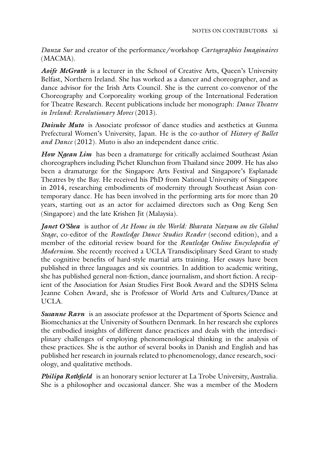*Danza Sur* and creator of the performance/workshop *Cartographies Imaginaires* (MACMA).

*Aoife McGrath* is a lecturer in the School of Creative Arts, Queen's University Belfast, Northern Ireland. She has worked as a dancer and choreographer, and as dance advisor for the Irish Arts Council. She is the current co-convenor of the Choreography and Corporeality working group of the International Federation for Theatre Research. Recent publications include her monograph: *Dance Theatre in Ireland: Revolutionary Moves* (2013).

*Daisuke Muto* is Associate professor of dance studies and aesthetics at Gunma Prefectural Women's University, Japan. He is the co-author of *History of Ballet and Dance* (2012). Muto is also an independent dance critic.

*How Ngean Lim* has been a dramaturge for critically acclaimed Southeast Asian choreographers including Pichet Klunchun from Thailand since 2009. He has also been a dramaturge for the Singapore Arts Festival and Singapore's Esplanade Theatres by the Bay. He received his PhD from National University of Singapore in 2014, researching embodiments of modernity through Southeast Asian contemporary dance. He has been involved in the performing arts for more than 20 years, starting out as an actor for acclaimed directors such as Ong Keng Sen (Singapore) and the late Krishen Jit (Malaysia).

*Janet O'Shea* is author of *At Home in the World: Bharata Natyam on the Global Stage*, co-editor of the *Routledge Dance Studies Reader* (second edition), and a member of the editorial review board for the *Routledge Online Encyclopedia of Modernism*. She recently received a UCLA Transdisciplinary Seed Grant to study the cognitive benefits of hard-style martial arts training. Her essays have been published in three languages and six countries. In addition to academic writing, she has published general non-fiction, dance journalism, and short fiction. A recipient of the Association for Asian Studies First Book Award and the SDHS Selma Jeanne Cohen Award, she is Professor of World Arts and Cultures/Dance at UCLA.

**Susanne Ravn** is an associate professor at the Department of Sports Science and Biomechanics at the University of Southern Denmark. In her research she explores the embodied insights of different dance practices and deals with the interdisciplinary challenges of employing phenomenological thinking in the analysis of these practices. She is the author of several books in Danish and English and has published her research in journals related to phenomenology, dance research, sociology, and qualitative methods.

*Philipa Rothfield* is an honorary senior lecturer at La Trobe University, Australia. She is a philosopher and occasional dancer. She was a member of the Modern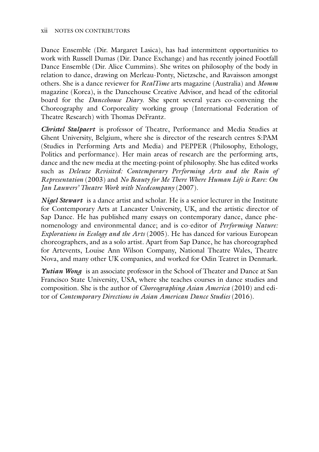Dance Ensemble (Dir. Margaret Lasica), has had intermittent opportunities to work with Russell Dumas (Dir. Dance Exchange) and has recently joined Footfall Dance Ensemble (Dir. Alice Cummins). She writes on philosophy of the body in relation to dance, drawing on Merleau-Ponty, Nietzsche, and Ravaisson amongst others. She is a dance reviewer for *RealTime* arts magazine (Australia) and *Momm* magazine (Korea), is the Dancehouse Creative Advisor, and head of the editorial board for the *Dancehouse Diary*. She spent several years co-convening the Choreography and Corporeality working group (International Federation of Theatre Research) with Thomas DeFrantz.

*Christel Stalpaert* is professor of Theatre, Performance and Media Studies at Ghent University, Belgium, where she is director of the research centres S:PAM (Studies in Performing Arts and Media) and PEPPER (Philosophy, Ethology, Politics and performance). Her main areas of research are the performing arts, dance and the new media at the meeting-point of philosophy. She has edited works such as *Deleuze Revisited: Contemporary Performing Arts and the Ruin of Representation* (2003) and *No Beauty for Me There Where Human Life is Rare: On Jan Lauwers' Theatre Work with Needcompany* (2007).

*Nigel Stewart* is a dance artist and scholar. He is a senior lecturer in the Institute for Contemporary Arts at Lancaster University, UK, and the artistic director of Sap Dance. He has published many essays on contemporary dance, dance phenomenology and environmental dance; and is co-editor of *Performing Nature: Explorations in Ecology and the Arts* (2005). He has danced for various European choreographers, and as a solo artist. Apart from Sap Dance, he has choreographed for Artevents, Louise Ann Wilson Company, National Theatre Wales, Theatre Nova, and many other UK companies, and worked for Odin Teatret in Denmark.

*Yutian Wong* is an associate professor in the School of Theater and Dance at San Francisco State University, USA, where she teaches courses in dance studies and composition. She is the author of *Choreographing Asian America* (2010) and editor of *Contemporary Directions in Asian American Dance Studies* (2016).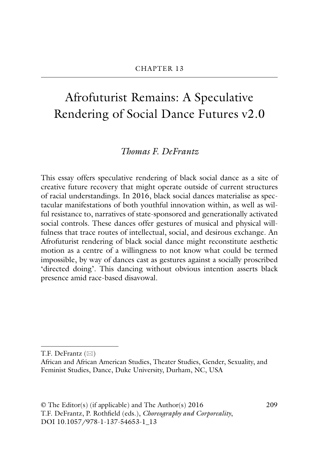## Afrofuturist Remains: A Speculative Rendering of Social Dance Futures v2.0

#### *Thomas F. DeFrantz*

This essay offers speculative rendering of black social dance as a site of creative future recovery that might operate outside of current structures of racial understandings. In 2016, black social dances materialise as spectacular manifestations of both youthful innovation within, as well as wilful resistance to, narratives of state-sponsored and generationally activated social controls. These dances offer gestures of musical and physical willfulness that trace routes of intellectual, social, and desirous exchange. An Afrofuturist rendering of black social dance might reconstitute aesthetic motion as a centre of a willingness to not know what could be termed impossible, by way of dances cast as gestures against a socially proscribed 'directed doing'. This dancing without obvious intention asserts black presence amid race-based disavowal.

© The Editor(s) (if applicable) and The Author(s) 2016 209 T.F. DeFrantz, P. Rothfield (eds.), *Choreography and Corporeality*, DOI 10.1057/978-1-137-54653-1\_13

T.F. DeFrantz  $(\boxtimes)$ 

African and African American Studies, Theater Studies, Gender, Sexuality, and Feminist Studies, Dance, Duke University, Durham, NC, USA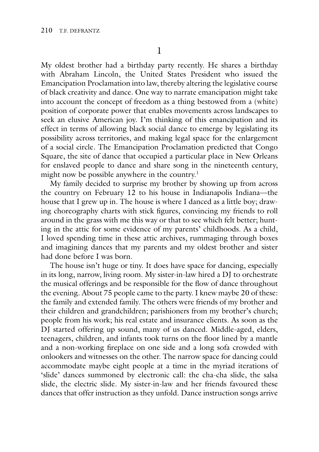My oldest brother had a birthday party recently. He shares a birthday with Abraham Lincoln, the United States President who issued the Emancipation Proclamation into law, thereby altering the legislative course of black creativity and dance. One way to narrate emancipation might take into account the concept of freedom as a thing bestowed from a (white) position of corporate power that enables movements across landscapes to seek an elusive American joy. I'm thinking of this emancipation and its effect in terms of allowing black social dance to emerge by legislating its possibility across territories, and making legal space for the enlargement of a social circle. The Emancipation Proclamation predicted that Congo Square, the site of dance that occupied a particular place in New Orleans for enslaved people to dance and share song in the nineteenth century, might now be possible anywhere in the country.<sup>1</sup>

My family decided to surprise my brother by showing up from across the country on February 12 to his house in Indianapolis Indiana—the house that I grew up in. The house is where I danced as a little boy; drawing choreography charts with stick figures, convincing my friends to roll around in the grass with me this way or that to see which felt better; hunting in the attic for some evidence of my parents' childhoods. As a child, I loved spending time in these attic archives, rummaging through boxes and imagining dances that my parents and my oldest brother and sister had done before I was born.

The house isn't huge or tiny. It does have space for dancing, especially in its long, narrow, living room. My sister-in-law hired a DJ to orchestrate the musical offerings and be responsible for the flow of dance throughout the evening. About 75 people came to the party. I knew maybe 20 of these: the family and extended family. The others were friends of my brother and their children and grandchildren; parishioners from my brother's church; people from his work; his real estate and insurance clients. As soon as the DJ started offering up sound, many of us danced. Middle-aged, elders, teenagers, children, and infants took turns on the floor lined by a mantle and a non-working fireplace on one side and a long sofa crowded with onlookers and witnesses on the other. The narrow space for dancing could accommodate maybe eight people at a time in the myriad iterations of 'slide' dances summoned by electronic call: the cha-cha slide, the salsa slide, the electric slide. My sister-in-law and her friends favoured these dances that offer instruction as they unfold. Dance instruction songs arrive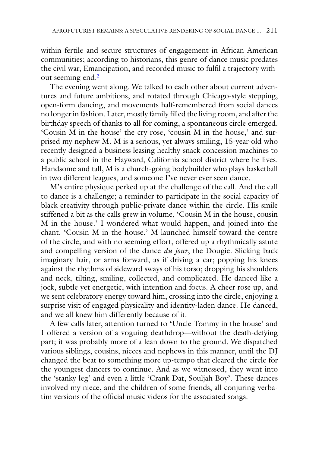within fertile and secure structures of engagement in African American communities; according to historians, this genre of dance music predates the civil war, Emancipation, and recorded music to fulfil a trajectory without seeming end.<sup>2</sup>

The evening went along. We talked to each other about current adventures and future ambitions, and rotated through Chicago-style stepping, open-form dancing, and movements half-remembered from social dances no longer in fashion. Later, mostly family filled the living room, and after the birthday speech of thanks to all for coming, a spontaneous circle emerged. 'Cousin M in the house' the cry rose, 'cousin M in the house,' and surprised my nephew M. M is a serious, yet always smiling, 15-year-old who recently designed a business leasing healthy-snack concession machines to a public school in the Hayward, California school district where he lives. Handsome and tall, M is a church-going bodybuilder who plays basketball in two different leagues, and someone I've never ever seen dance.

M's entire physique perked up at the challenge of the call. And the call to dance is a challenge; a reminder to participate in the social capacity of black creativity through public-private dance within the circle. His smile stiffened a bit as the calls grew in volume, 'Cousin M in the house, cousin M in the house.' I wondered what would happen, and joined into the chant. 'Cousin M in the house.' M launched himself toward the centre of the circle, and with no seeming effort, offered up a rhythmically astute and compelling version of the dance *du jour*, the Dougie. Slicking back imaginary hair, or arms forward, as if driving a car; popping his knees against the rhythms of sideward sways of his torso; dropping his shoulders and neck, tilting, smiling, collected, and complicated. He danced like a jock, subtle yet energetic, with intention and focus. A cheer rose up, and we sent celebratory energy toward him, crossing into the circle, enjoying a surprise visit of engaged physicality and identity-laden dance. He danced, and we all knew him differently because of it.

A few calls later, attention turned to 'Uncle Tommy in the house' and I offered a version of a voguing deathdrop—without the death-defying part; it was probably more of a lean down to the ground. We dispatched various siblings, cousins, nieces and nephews in this manner, until the DJ changed the beat to something more up-tempo that cleared the circle for the youngest dancers to continue. And as we witnessed, they went into the 'stanky leg' and even a little 'Crank Dat, Souljah Boy'. These dances involved my niece, and the children of some friends, all conjuring verbatim versions of the official music videos for the associated songs.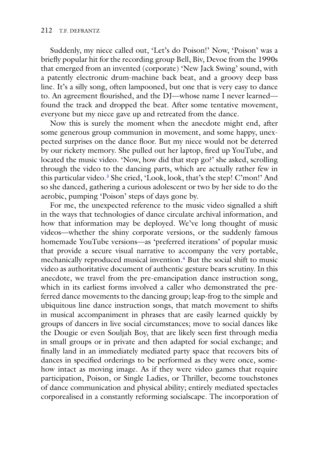Suddenly, my niece called out, 'Let's do Poison!' Now, 'Poison' was a briefly popular hit for the recording group Bell, Biv, Devoe from the 1990s that emerged from an invented (corporate) 'New Jack Swing' sound, with a patently electronic drum-machine back beat, and a groovy deep bass line. It's a silly song, often lampooned, but one that is very easy to dance to. An agreement flourished, and the DJ—whose name I never learned found the track and dropped the beat. After some tentative movement, everyone but my niece gave up and retreated from the dance.

Now this is surely the moment when the anecdote might end, after some generous group communion in movement, and some happy, unexpected surprises on the dance floor. But my niece would not be deterred by our rickety memory. She pulled out her laptop, fired up YouTube, and located the music video. 'Now, how did that step go?' she asked, scrolling through the video to the dancing parts, which are actually rather few in this particular video.<sup>3</sup> She cried, 'Look, look, that's the step! C'mon!' And so she danced, gathering a curious adolescent or two by her side to do the aerobic, pumping 'Poison' steps of days gone by.

For me, the unexpected reference to the music video signalled a shift in the ways that technologies of dance circulate archival information, and how that information may be deployed. We've long thought of music videos—whether the shiny corporate versions, or the suddenly famous homemade YouTube versions—as 'preferred iterations' of popular music that provide a secure visual narrative to accompany the very portable, mechanically reproduced musical invention[.4](#page-20-0) But the social shift to music video as authoritative document of authentic gesture bears scrutiny. In this anecdote, we travel from the pre-emancipation dance instruction song, which in its earliest forms involved a caller who demonstrated the preferred dance movements to the dancing group; leap-frog to the simple and ubiquitous line dance instruction songs, that match movement to shifts in musical accompaniment in phrases that are easily learned quickly by groups of dancers in live social circumstances; move to social dances like the Dougie or even Souljah Boy, that are likely seen first through media in small groups or in private and then adapted for social exchange; and finally land in an immediately mediated party space that recovers bits of dances in specified orderings to be performed as they were once, somehow intact as moving image. As if they were video games that require participation, Poison, or Single Ladies, or Thriller, become touchstones of dance communication and physical ability; entirely mediated spectacles corporealised in a constantly reforming socialscape. The incorporation of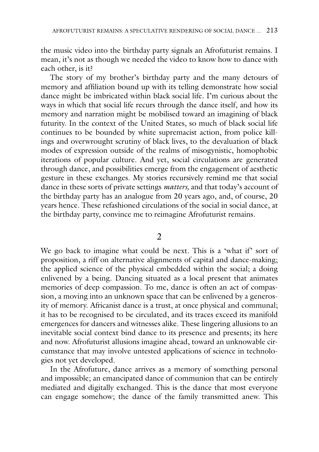the music video into the birthday party signals an Afrofuturist remains. I mean, it's not as though we needed the video to know how to dance with each other, is it?

The story of my brother's birthday party and the many detours of memory and affiliation bound up with its telling demonstrate how social dance might be imbricated within black social life. I'm curious about the ways in which that social life recurs through the dance itself, and how its memory and narration might be mobilised toward an imagining of black futurity. In the context of the United States, so much of black social life continues to be bounded by white supremacist action, from police killings and overwrought scrutiny of black lives, to the devaluation of black modes of expression outside of the realms of misogynistic, homophobic iterations of popular culture. And yet, social circulations are generated through dance, and possibilities emerge from the engagement of aesthetic gesture in these exchanges. My stories recursively remind me that social dance in these sorts of private settings *matters,* and that today's account of the birthday party has an analogue from 20 years ago, and, of course, 20 years hence. These refashioned circulations of the social in social dance, at the birthday party, convince me to reimagine Afrofuturist remains.

#### $\mathfrak{D}$

We go back to imagine what could be next. This is a 'what if' sort of proposition, a riff on alternative alignments of capital and dance-making; the applied science of the physical embedded within the social; a doing enlivened by a being. Dancing situated as a local present that animates memories of deep compassion. To me, dance is often an act of compassion, a moving into an unknown space that can be enlivened by a generosity of memory. Africanist dance is a trust, at once physical and communal; it has to be recognised to be circulated, and its traces exceed its manifold emergences for dancers and witnesses alike. These lingering allusions to an inevitable social context bind dance to its presence and presents; its here and now. Afrofuturist allusions imagine ahead, toward an unknowable circumstance that may involve untested applications of science in technologies not yet developed.

In the Afrofuture, dance arrives as a memory of something personal and impossible; an emancipated dance of communion that can be entirely mediated and digitally exchanged. This is the dance that most everyone can engage somehow; the dance of the family transmitted anew. This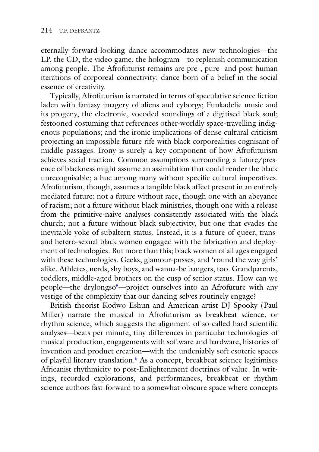eternally forward-looking dance accommodates new technologies—the LP, the CD, the video game, the hologram—to replenish communication among people. The Afrofuturist remains are pre-, pure- and post-human iterations of corporeal connectivity: dance born of a belief in the social essence of creativity.

Typically, Afrofuturism is narrated in terms of speculative science fiction laden with fantasy imagery of aliens and cyborgs; Funkadelic music and its progeny, the electronic, vocoded soundings of a digitised black soul; festooned costuming that references other-worldly space-travelling indigenous populations; and the ironic implications of dense cultural criticism projecting an impossible future rife with black corporealities cognisant of middle passages. Irony is surely a key component of how Afrofuturism achieves social traction. Common assumptions surrounding a future/presence of blackness might assume an assimilation that could render the black unrecognisable; a hue among many without specific cultural imperatives. Afrofuturism, though, assumes a tangible black affect present in an entirely mediated future; not a future without race, though one with an abeyance of racism; not a future without black ministries, though one with a release from the primitive-naive analyses consistently associated with the black church; not a future without black subjectivity, but one that evades the inevitable yoke of subaltern status. Instead, it is a future of queer, transand hetero-sexual black women engaged with the fabrication and deployment of technologies. But more than this; black women of all ages engaged with these technologies. Geeks, glamour-pusses, and 'round the way girls' alike. Athletes, nerds, shy boys, and wanna-be bangers, too. Grandparents, toddlers, middle-aged brothers on the cusp of senior status. How can we people—the drylongso<sup>[5](#page-20-0)</sup>—project ourselves into an Afrofuture with any vestige of the complexity that our dancing selves routinely engage?

British theorist Kodwo Eshun and American artist DJ Spooky (Paul Miller) narrate the musical in Afrofuturism as breakbeat science, or rhythm science, which suggests the alignment of so-called hard scientific analyses—beats per minute, tiny differences in particular technologies of musical production, engagements with software and hardware, histories of invention and product creation—with the undeniably soft esoteric spaces of playful literary translation.[6](#page-20-0) As a concept, breakbeat science legitimises Africanist rhythmicity to post-Enlightenment doctrines of value. In writings, recorded explorations, and performances, breakbeat or rhythm science authors fast-forward to a somewhat obscure space where concepts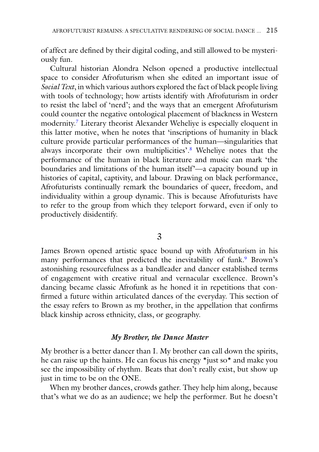of affect are defined by their digital coding, and still allowed to be mysteriously fun.

Cultural historian Alondra Nelson opened a productive intellectual space to consider Afrofuturism when she edited an important issue of *Social Text*, in which various authors explored the fact of black people living with tools of technology; how artists identify with Afrofuturism in order to resist the label of 'nerd'; and the ways that an emergent Afrofuturism could counter the negative ontological placement of blackness in Western modernity.[7](#page-20-0) Literary theorist Alexander Weheliye is especially eloquent in this latter motive, when he notes that 'inscriptions of humanity in black culture provide particular performances of the human—singularities that always incorporate their own multiplicities'[.8](#page-20-0) Weheliye notes that the performance of the human in black literature and music can mark 'the boundaries and limitations of the human itself'—a capacity bound up in histories of capital, captivity, and labour. Drawing on black performance, Afrofuturists continually remark the boundaries of queer, freedom, and individuality within a group dynamic. This is because Afrofuturists have to refer to the group from which they teleport forward, even if only to productively disidentify.

#### 3

James Brown opened artistic space bound up with Afrofuturism in his many performances that predicted the inevitability of funk.<sup>[9](#page-20-0)</sup> Brown's astonishing resourcefulness as a bandleader and dancer established terms of engagement with creative ritual and vernacular excellence. Brown's dancing became classic Afrofunk as he honed it in repetitions that confirmed a future within articulated dances of the everyday. This section of the essay refers to Brown as my brother, in the appellation that confirms black kinship across ethnicity, class, or geography.

#### *My Brother, the Dance Master*

My brother is a better dancer than I. My brother can call down the spirits, he can raise up the haints. He can focus his energy \*just so\* and make you see the impossibility of rhythm. Beats that don't really exist, but show up just in time to be on the ONE.

When my brother dances, crowds gather. They help him along, because that's what we do as an audience; we help the performer. But he doesn't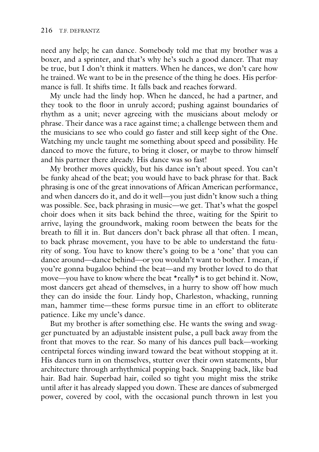need any help; he can dance. Somebody told me that my brother was a boxer, and a sprinter, and that's why he's such a good dancer. That may be true, but I don't think it matters. When he dances, we don't care how he trained. We want to be in the presence of the thing he does. His performance is full. It shifts time. It falls back and reaches forward.

My uncle had the lindy hop. When he danced, he had a partner, and they took to the floor in unruly accord; pushing against boundaries of rhythm as a unit; never agreeing with the musicians about melody or phrase. Their dance was a race against time; a challenge between them and the musicians to see who could go faster and still keep sight of the One. Watching my uncle taught me something about speed and possibility. He danced to move the future, to bring it closer, or maybe to throw himself and his partner there already. His dance was so fast!

My brother moves quickly, but his dance isn't about speed. You can't be funky ahead of the beat; you would have to back phrase for that. Back phrasing is one of the great innovations of African American performance, and when dancers do it, and do it well—you just didn't know such a thing was possible. See, back phrasing in music—we get. That's what the gospel choir does when it sits back behind the three, waiting for the Spirit to arrive, laying the groundwork, making room between the beats for the breath to fill it in. But dancers don't back phrase all that often. I mean, to back phrase movement, you have to be able to understand the futurity of song. You have to know there's going to be a 'one' that you can dance around—dance behind—or you wouldn't want to bother. I mean, if you're gonna bugaloo behind the beat—and my brother loved to do that move—you have to know where the beat \*really\* is to get behind it. Now, most dancers get ahead of themselves, in a hurry to show off how much they can do inside the four. Lindy hop, Charleston, whacking, running man, hammer time—these forms pursue time in an effort to obliterate patience. Like my uncle's dance.

But my brother is after something else. He wants the swing and swagger punctuated by an adjustable insistent pulse, a pull back away from the front that moves to the rear. So many of his dances pull back—working centripetal forces winding inward toward the beat without stopping at it. His dances turn in on themselves, stutter over their own statements, blur architecture through arrhythmical popping back. Snapping back, like bad hair. Bad hair. Superbad hair, coiled so tight you might miss the strike until after it has already slapped you down. These are dances of submerged power, covered by cool, with the occasional punch thrown in lest you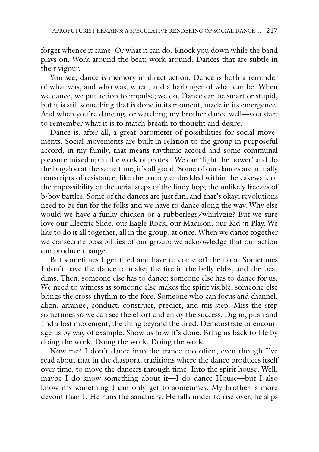forget whence it came. Or what it can do. Knock you down while the band plays on. Work around the beat; work around. Dances that are subtle in their vigour.

You see, dance is memory in direct action. Dance is both a reminder of what was, and who was, when, and a harbinger of what can be. When we dance, we put action to impulse; we do. Dance can be smart or stupid, but it is still something that is done in its moment, made in its emergence. And when you're dancing, or watching my brother dance well—you start to remember what it is to match breath to thought and desire.

Dance is, after all, a great barometer of possibilities for social movements. Social movements are built in relation to the group in purposeful accord, in my family, that means rhythmic accord and some communal pleasure mixed up in the work of protest. We can 'fight the power' and do the bugaloo at the same time; it's all good. Some of our dances are actually transcripts of resistance, like the parody embedded within the cakewalk or the impossibility of the aerial steps of the lindy hop; the unlikely freezes of b-boy battles. Some of the dances are just fun, and that's okay; revolutions need to be fun for the folks and we have to dance along the way. Why else would we have a funky chicken or a rubberlegs/whirlygig? But we sure love our Electric Slide, our Eagle Rock, our Madison, our Kid 'n Play. We like to do it all together, all in the group, at once. When we dance together we consecrate possibilities of our group; we acknowledge that our action can produce change.

But sometimes I get tired and have to come off the floor. Sometimes I don't have the dance to make; the fire in the belly ebbs, and the beat dims. Then, someone else has to dance; someone else has to dance for us. We need to witness as someone else makes the spirit visible; someone else brings the cross-rhythm to the fore. Someone who can focus and channel, align, arrange, conduct, construct, predict, and mis-step. Miss the step sometimes so we can see the effort and enjoy the success. Dig in, push and find a lost movement, the thing beyond the tired. Demonstrate or encourage us by way of example. Show us how it's done. Bring us back to life by doing the work. Doing the work. Doing the work.

Now me? I don't dance into the trance too often, even though I've read about that in the diaspora, traditions where the dance produces itself over time, to move the dancers through time. Into the spirit house. Well, maybe I do know something about it—I do dance House—but I also know it's something I can only get to sometimes. My brother is more devout than I. He runs the sanctuary. He falls under to rise over, he slips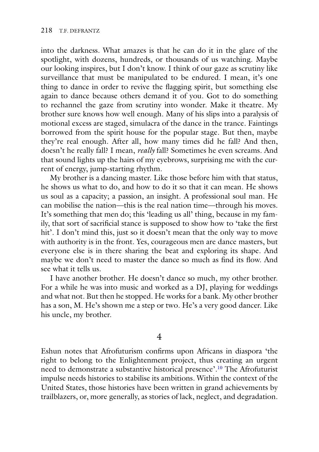into the darkness. What amazes is that he can do it in the glare of the spotlight, with dozens, hundreds, or thousands of us watching. Maybe our looking inspires, but I don't know. I think of our gaze as scrutiny like surveillance that must be manipulated to be endured. I mean, it's one thing to dance in order to revive the flagging spirit, but something else again to dance because others demand it of you. Got to do something to rechannel the gaze from scrutiny into wonder. Make it theatre. My brother sure knows how well enough. Many of his slips into a paralysis of motional excess are staged, simulacra of the dance in the trance. Faintings borrowed from the spirit house for the popular stage. But then, maybe they're real enough. After all, how many times did he fall? And then, doesn't he really fall? I mean, *really* fall? Sometimes he even screams. And that sound lights up the hairs of my eyebrows, surprising me with the current of energy, jump-starting rhythm.

My brother is a dancing master. Like those before him with that status, he shows us what to do, and how to do it so that it can mean. He shows us soul as a capacity; a passion, an insight. A professional soul man. He can mobilise the nation—this is the real nation time—through his moves. It's something that men do; this 'leading us all' thing, because in my family, that sort of sacrificial stance is supposed to show how to 'take the first hit'. I don't mind this, just so it doesn't mean that the only way to move with authority is in the front. Yes, courageous men are dance masters, but everyone else is in there sharing the beat and exploring its shape. And maybe we don't need to master the dance so much as find its flow. And see what it tells us.

I have another brother. He doesn't dance so much, my other brother. For a while he was into music and worked as a DJ, playing for weddings and what not. But then he stopped. He works for a bank. My other brother has a son, M. He's shown me a step or two. He's a very good dancer. Like his uncle, my brother.

#### 4

Eshun notes that Afrofuturism confirms upon Africans in diaspora 'the right to belong to the Enlightenment project, thus creating an urgent need to demonstrate a substantive historical presence'[.10](#page-20-0) The Afrofuturist impulse needs histories to stabilise its ambitions. Within the context of the United States, those histories have been written in grand achievements by trailblazers, or, more generally, as stories of lack, neglect, and degradation.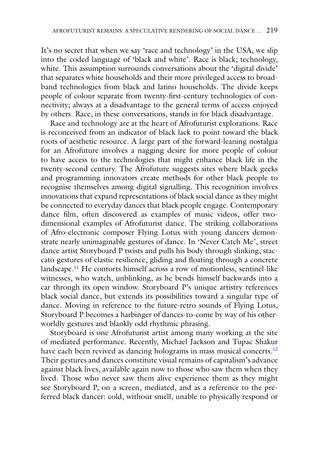It's no secret that when we say 'race and technology' in the USA, we slip into the coded language of 'black and white'. Race is black; technology, white. This assumption surrounds conversations about the 'digital divide' that separates white households and their more privileged access to broadband technologies from black and latino households. The divide keeps people of colour separate from twenty-first-century technologies of connectivity; always at a disadvantage to the general terms of access enjoyed by others. Race, in these conversations, stands in for black disadvantage.

Race and technology are at the heart of Afrofuturist explorations. Race is reconceived from an indicator of black lack to point toward the black roots of aesthetic resource. A large part of the forward-leaning nostalgia for an Afrofuture involves a nagging desire for more people of colour to have access to the technologies that might enhance black life in the twenty-second century. The Afrofuture suggests sites where black geeks and programming innovators create methods for other black people to recognise themselves among digital signalling. This recognition involves innovations that expand representations of black social dance as they might be connected to everyday dances that black people engage. Contemporary dance film, often discovered as examples of music videos, offer twodimensional examples of Afrofuturist dance. The striking collaborations of Afro-electronic composer Flying Lotus with young dancers demonstrate nearly unimaginable gestures of dance. In 'Never Catch Me', street dance artist Storyboard P twists and pulls his body through slinking, staccato gestures of elastic resilience, gliding and floating through a concrete landscape[.11](#page-20-0) He contorts himself across a row of motionless, sentinel-like witnesses, who watch, unblinking, as he bends himself backwards into a car through its open window. Storyboard P's unique artistry references black social dance, but extends its possibilities toward a singular type of dance. Moving in reference to the future-retro sounds of Flying Lotus, Storyboard P becomes a harbinger of dances-to-come by way of his otherworldly gestures and blankly odd rhythmic phrasing.

Storyboard is one Afrofuturist artist among many working at the site of mediated performance. Recently, Michael Jackson and Tupac Shakur have each been revived as dancing holograms in mass musical concerts.<sup>[12](#page-20-0)</sup> Their gestures and dances constitute visual remains of capitalism's advance against black lives, available again now to those who saw them when they lived. Those who never saw them alive experience them as they might see Storyboard P, on a screen, mediated, and as a reference to the preferred black dancer: cold, without smell, unable to physically respond or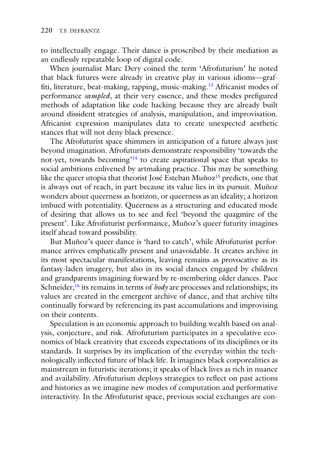to intellectually engage. Their dance is proscribed by their mediation as an endlessly repeatable loop of digital code.

When journalist Marc Dery coined the term 'Afrofuturism' he noted that black futures were already in creative play in various idioms—graffiti, literature, beat-making, rapping, music-making[.13](#page-20-0) Africanist modes of performance *sampled*, at their very essence, and these modes prefigured methods of adaptation like code hacking because they are already built around dissident strategies of analysis, manipulation, and improvisation. Africanist expression manipulates data to create unexpected aesthetic stances that will not deny black presence.

The Afrofuturist space shimmers in anticipation of a future always just beyond imagination. Afrofuturists demonstrate responsibility 'towards the not-yet, towards becoming['14](#page-20-0) to create aspirational space that speaks to social ambitions enlivened by artmaking practice. This may be something like the queer utopia that theorist José Esteban Muñoz $15$  predicts, one that is always out of reach, in part because its value lies in its pursuit. Muñoz wonders about queerness as horizon, or queerness as an ideality; a horizon imbued with potentiality. Queerness as a structuring and educated mode of desiring that allows us to see and feel 'beyond the quagmire of the present'. Like Afrofuturist performance, Muñoz's queer futurity imagines itself ahead toward possibility.

But Muñoz's queer dance is 'hard to catch', while Afrofuturist performance arrives emphatically present and unavoidable. It creates archive in its most spectacular manifestations, leaving remains as provocative as its fantasy-laden imagery, but also in its social dances engaged by children and grandparents imagining forward by re-membering older dances. Pace Schneider,<sup>16</sup> its remains in terms of *body* are processes and relationships; its values are created in the emergent archive of dance, and that archive tilts continually forward by referencing its past accumulations and improvising on their contents.

Speculation is an economic approach to building wealth based on analysis, conjecture, and risk. Afrofuturism participates in a speculative economics of black creativity that exceeds expectations of its disciplines or its standards. It surprises by its implication of the everyday within the technologically inflected future of black life. It imagines black corporealities as mainstream in futuristic iterations; it speaks of black lives as rich in nuance and availability. Afrofuturism deploys strategies to reflect on past actions and histories as we imagine new modes of computation and performative interactivity. In the Afrofuturist space, previous social exchanges are con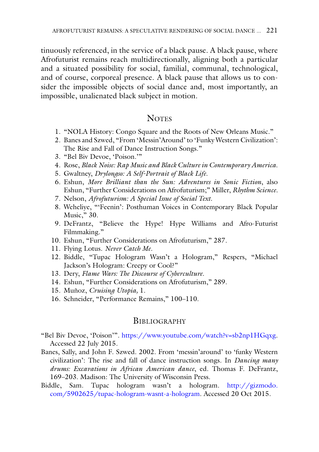<span id="page-20-0"></span>tinuously referenced, in the service of a black pause. A black pause, where Afrofuturist remains reach multidirectionally, aligning both a particular and a situated possibility for social, familial, communal, technological, and of course, corporeal presence. A black pause that allows us to consider the impossible objects of social dance and, most importantly, an impossible, unalienated black subject in motion.

#### **NOTES**

- 1. "NOLA History: Congo Square and the Roots of New Orleans Music."
- 2. Banes and Szwed, "From 'Messin'Around' to 'Funky Western Civilization': The Rise and Fall of Dance Instruction Songs."
- 3. "Bel Biv Devoe, 'Poison.'"
- 4. Rose, *Black Noise: Rap Music and Black Culture in Contemporary America*.
- 5. Gwaltney, *Drylongso: A Self-Portrait of Black Life.*
- 6. Eshun, *More Brilliant than the Sun: Adventures in Sonic Fiction*, also Eshun, "Further Considerations on Afrofuturism;" Miller, *Rhythm Science.*
- 7. Nelson, *Afrofuturism: A Special Issue of Social Text*.
- 8. Weheliye, "'Feenin': Posthuman Voices in Contemporary Black Popular Music," 30.
- 9. DeFrantz, "Believe the Hype! Hype Williams and Afro-Futurist Filmmaking."
- 10. Eshun, "Further Considerations on Afrofuturism," 287.
- 11. Flying Lotus. *Never Catch Me.*
- 12. Biddle, "Tupac Hologram Wasn't a Hologram," Respers, "Michael Jackson's Hologram: Creepy or Cool?"
- 13. Dery, *Flame Wars: The Discourse of Cyberculture*.
- 14. Eshun, "Further Considerations on Afrofuturism," 289.
- 15. Muñoz, *Cruising Utopia,* 1.
- 16. Schneider, "Performance Remains," 100–110.

#### **BIBLIOGRAPHY**

- "Bel Biv Devoe, 'Poison'". <https://www.youtube.com/watch?v=sb2np1HGqxg>. Accessed 22 July 2015.
- Banes, Sally, and John F. Szwed. 2002. From 'messin'around' to 'funky Western civilization': The rise and fall of dance instruction songs. In *Dancing many drums: Excavations in African American dance*, ed. Thomas F. DeFrantz, 169–203. Madison: The University of Wisconsin Press.
- Biddle, Sam. Tupac hologram wasn't a hologram. [http://gizmodo.](http://gizmodo.com/5902625/tupac-hologram-wasnt-a-hologram) [com/5902625/tupac-hologram-wasnt-a-hologram.](http://gizmodo.com/5902625/tupac-hologram-wasnt-a-hologram) Accessed 20 Oct 2015.